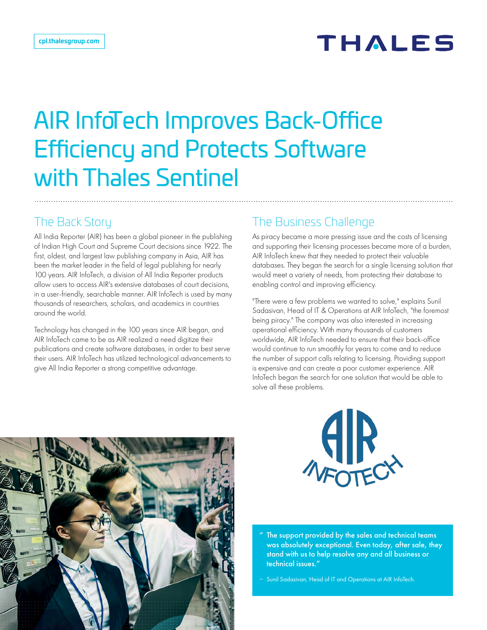# AIR InfoTech Improves Back-Office Efficiency and Protects Software with Thales Sentinel

#### The Back Story

All India Reporter (AIR) has been a global pioneer in the publishing of Indian High Court and Supreme Court decisions since 1922. The first, oldest, and largest law publishing company in Asia, AIR has been the market leader in the field of legal publishing for nearly 100 years. AIR InfoTech, a division of All India Reporter products allow users to access AIR's extensive databases of court decisions, in a user-friendly, searchable manner. AIR InfoTech is used by many thousands of researchers, scholars, and academics in countries around the world.

Technology has changed in the 100 years since AIR began, and AIR InfoTech came to be as AIR realized a need digitize their publications and create software databases, in order to best serve their users. AIR InfoTech has utilized technological advancements to give All India Reporter a strong competitive advantage.

#### The Business Challenge

As piracy became a more pressing issue and the costs of licensing and supporting their licensing processes became more of a burden, AIR InfoTech knew that they needed to protect their valuable databases. They began the search for a single licensing solution that would meet a variety of needs, from protecting their database to enabling control and improving efficiency.

"There were a few problems we wanted to solve," explains Sunil Sadasivan, Head of IT & Operations at AIR InfoTech, "the foremost being piracy." The company was also interested in increasing operational efficiency. With many thousands of customers worldwide, AIR InfoTech needed to ensure that their back-office would continue to run smoothly for years to come and to reduce the number of support calls relating to licensing. Providing support is expensive and can create a poor customer experience. AIR InfoTech began the search for one solution that would be able to solve all these problems.





The support provided by the sales and technical teams was absolutely exceptional. Even today, after sale, they stand with us to help resolve any and all business or technical issues."

– Sunil Sadasivan, Head of IT and Operations at AIR InfoTech.